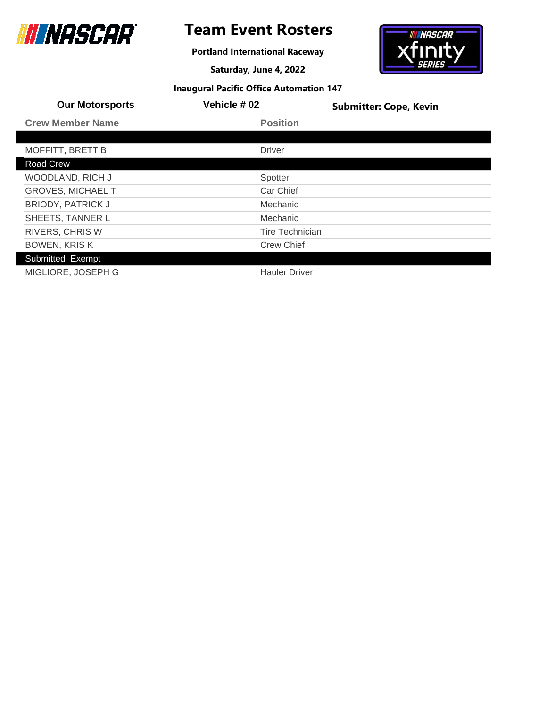

# **Team Event Rosters**

**Portland International Raceway**

**Saturday, June 4, 2022**



| <b>Our Motorsports</b>   | Vehicle #02            | <b>Submitter: Cope, Kevin</b> |
|--------------------------|------------------------|-------------------------------|
| <b>Crew Member Name</b>  | <b>Position</b>        |                               |
|                          |                        |                               |
| <b>MOFFITT, BRETT B</b>  | <b>Driver</b>          |                               |
| Road Crew                |                        |                               |
| WOODLAND, RICH J         | Spotter                |                               |
| <b>GROVES, MICHAEL T</b> | Car Chief              |                               |
| <b>BRIODY, PATRICK J</b> | Mechanic               |                               |
| SHEETS, TANNER L         | Mechanic               |                               |
| <b>RIVERS, CHRIS W</b>   | <b>Tire Technician</b> |                               |
| <b>BOWEN, KRISK</b>      | <b>Crew Chief</b>      |                               |
| Submitted Exempt         |                        |                               |
| MIGLIORE, JOSEPH G       | <b>Hauler Driver</b>   |                               |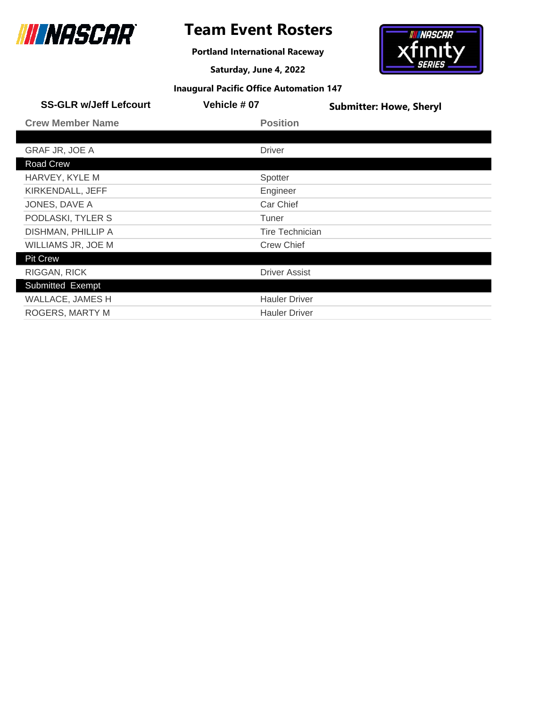

# **Team Event Rosters**

**Portland International Raceway**

**Saturday, June 4, 2022**



| <b>SS-GLR w/Jeff Lefcourt</b> | <b>Vehicle #07</b>     | <b>Submitter: Howe, Sheryl</b> |
|-------------------------------|------------------------|--------------------------------|
| <b>Crew Member Name</b>       | <b>Position</b>        |                                |
|                               |                        |                                |
| <b>GRAF JR, JOE A</b>         | <b>Driver</b>          |                                |
| Road Crew                     |                        |                                |
| HARVEY, KYLE M                | Spotter                |                                |
| KIRKENDALL, JEFF              | Engineer               |                                |
| JONES, DAVE A                 | Car Chief              |                                |
| PODLASKI, TYLER S             | Tuner                  |                                |
| DISHMAN, PHILLIP A            | <b>Tire Technician</b> |                                |
| WILLIAMS JR, JOE M            | <b>Crew Chief</b>      |                                |
| <b>Pit Crew</b>               |                        |                                |
| RIGGAN, RICK                  | <b>Driver Assist</b>   |                                |
| Submitted Exempt              |                        |                                |
| WALLACE, JAMES H              | <b>Hauler Driver</b>   |                                |
| ROGERS, MARTY M               | <b>Hauler Driver</b>   |                                |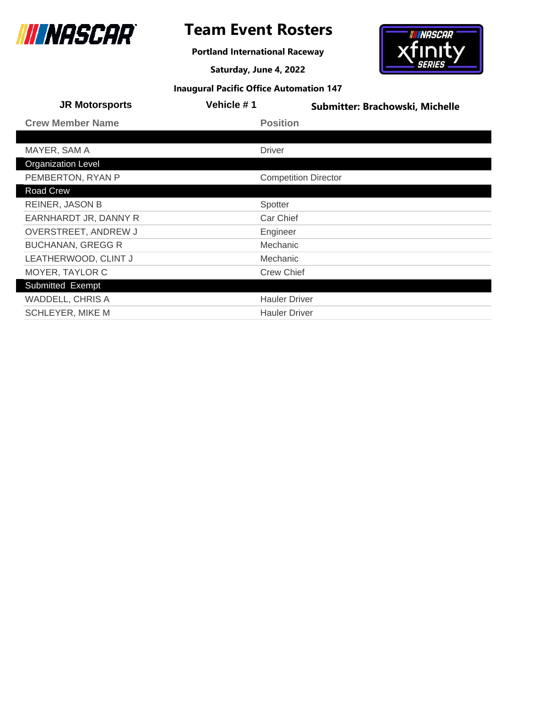

**Portland International Raceway**

**Saturday, June 4, 2022**



| <b>JR Motorsports</b>     | Vehicle #1                  | Submitter: Brachowski, Michelle |
|---------------------------|-----------------------------|---------------------------------|
| <b>Crew Member Name</b>   | <b>Position</b>             |                                 |
|                           |                             |                                 |
| MAYER, SAM A              | <b>Driver</b>               |                                 |
| <b>Organization Level</b> |                             |                                 |
| PEMBERTON, RYAN P         | <b>Competition Director</b> |                                 |
| Road Crew                 |                             |                                 |
| <b>REINER, JASON B</b>    | Spotter                     |                                 |
| EARNHARDT JR, DANNY R     | Car Chief                   |                                 |
| OVERSTREET, ANDREW J      | Engineer                    |                                 |
| <b>BUCHANAN, GREGG R</b>  | Mechanic                    |                                 |
| LEATHERWOOD, CLINT J      | Mechanic                    |                                 |
| MOYER, TAYLOR C           | <b>Crew Chief</b>           |                                 |
| Submitted Exempt          |                             |                                 |
| <b>WADDELL, CHRIS A</b>   | <b>Hauler Driver</b>        |                                 |
| <b>SCHLEYER, MIKE M</b>   | <b>Hauler Driver</b>        |                                 |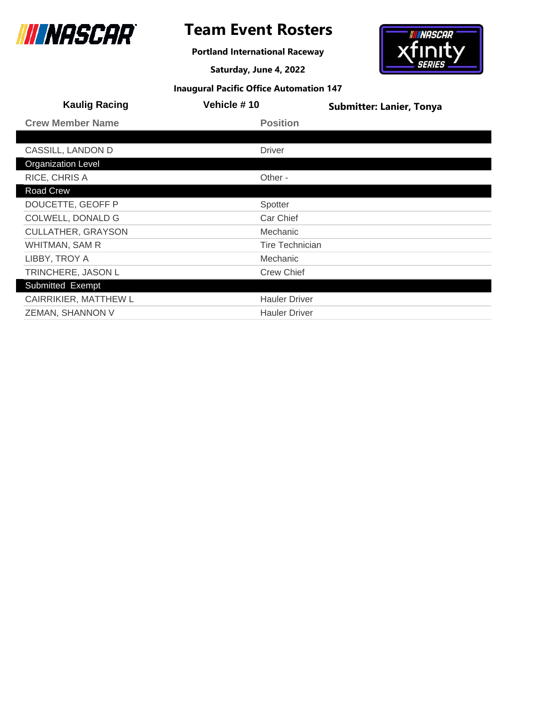

# **Team Event Rosters**

**Portland International Raceway**

**Saturday, June 4, 2022**



| <b>Kaulig Racing</b>      | Vehicle #10            | <b>Submitter: Lanier, Tonya</b> |
|---------------------------|------------------------|---------------------------------|
| <b>Crew Member Name</b>   | <b>Position</b>        |                                 |
|                           |                        |                                 |
| CASSILL, LANDON D         | <b>Driver</b>          |                                 |
| <b>Organization Level</b> |                        |                                 |
| RICE, CHRIS A             | Other -                |                                 |
| <b>Road Crew</b>          |                        |                                 |
| DOUCETTE, GEOFF P         | Spotter                |                                 |
| <b>COLWELL, DONALD G</b>  | Car Chief              |                                 |
| <b>CULLATHER, GRAYSON</b> | Mechanic               |                                 |
| WHITMAN, SAM R            | <b>Tire Technician</b> |                                 |
| LIBBY, TROY A             | <b>Mechanic</b>        |                                 |
| TRINCHERE, JASON L        | <b>Crew Chief</b>      |                                 |
| Submitted Exempt          |                        |                                 |
| CAIRRIKIER, MATTHEW L     | <b>Hauler Driver</b>   |                                 |
| ZEMAN, SHANNON V          | <b>Hauler Driver</b>   |                                 |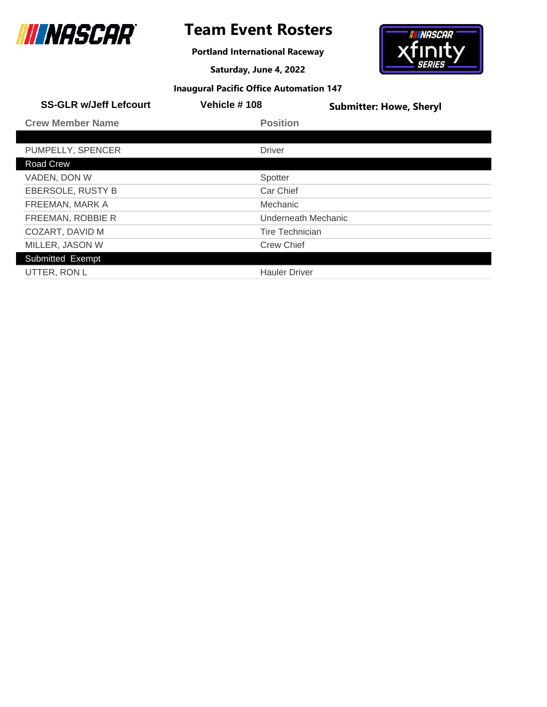

# **Team Event Rosters**

**Portland International Raceway**

**Saturday, June 4, 2022**



| <b>SS-GLR w/Jeff Lefcourt</b> | Vehicle #108           | <b>Submitter: Howe, Sheryl</b> |
|-------------------------------|------------------------|--------------------------------|
| <b>Crew Member Name</b>       | <b>Position</b>        |                                |
|                               |                        |                                |
| PUMPELLY, SPENCER             | <b>Driver</b>          |                                |
| Road Crew                     |                        |                                |
| VADEN, DON W                  | Spotter                |                                |
| EBERSOLE, RUSTY B             | Car Chief              |                                |
| FREEMAN, MARK A               | Mechanic               |                                |
| FREEMAN, ROBBIE R             |                        | Underneath Mechanic            |
| COZART, DAVID M               | <b>Tire Technician</b> |                                |
| MILLER, JASON W               | <b>Crew Chief</b>      |                                |
| Submitted Exempt              |                        |                                |
| UTTER, RON L                  | <b>Hauler Driver</b>   |                                |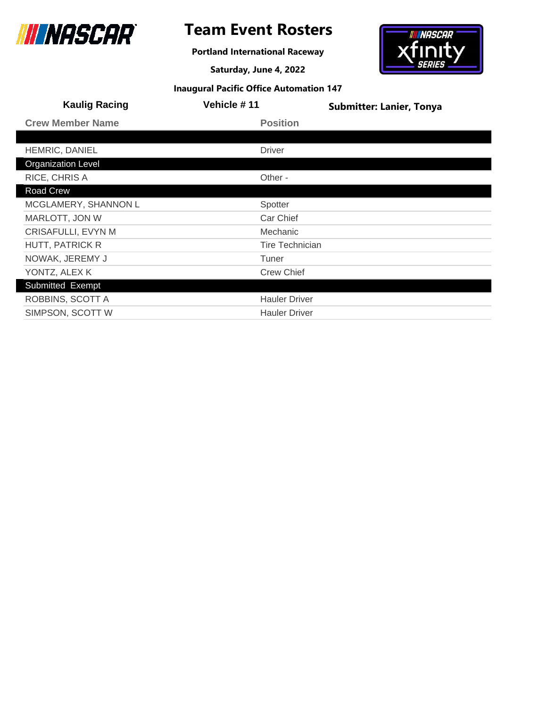

# **Team Event Rosters**

**Portland International Raceway**

**Saturday, June 4, 2022**



| <b>Kaulig Racing</b>      | Vehicle #11            | <b>Submitter: Lanier, Tonya</b> |
|---------------------------|------------------------|---------------------------------|
| <b>Crew Member Name</b>   | <b>Position</b>        |                                 |
|                           |                        |                                 |
| HEMRIC, DANIEL            | <b>Driver</b>          |                                 |
| <b>Organization Level</b> |                        |                                 |
| RICE, CHRIS A             | Other -                |                                 |
| Road Crew                 |                        |                                 |
| MCGLAMERY, SHANNON L      | Spotter                |                                 |
| MARLOTT, JON W            | Car Chief              |                                 |
| <b>CRISAFULLI, EVYN M</b> | Mechanic               |                                 |
| <b>HUTT, PATRICK R</b>    | <b>Tire Technician</b> |                                 |
| NOWAK, JEREMY J           | Tuner                  |                                 |
| YONTZ, ALEX K             | <b>Crew Chief</b>      |                                 |
| Submitted Exempt          |                        |                                 |
| ROBBINS, SCOTT A          | <b>Hauler Driver</b>   |                                 |
| SIMPSON, SCOTT W          | <b>Hauler Driver</b>   |                                 |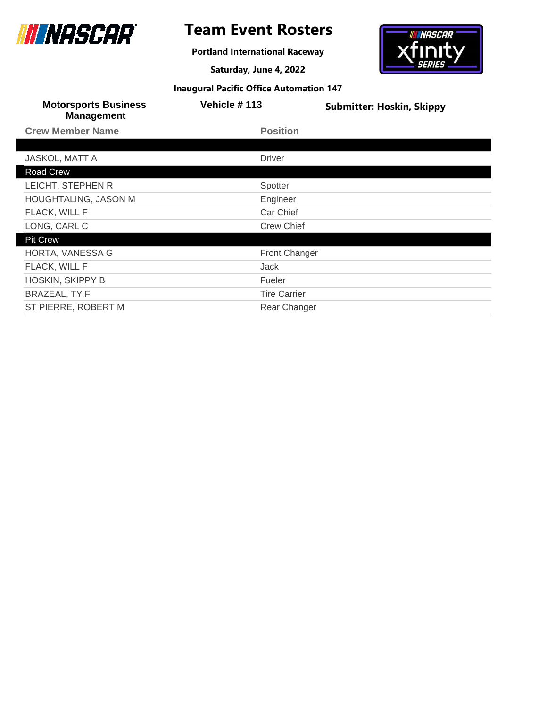

**Portland International Raceway**

**Saturday, June 4, 2022**



| <b>Motorsports Business</b><br><b>Management</b> | Vehicle #113         | <b>Submitter: Hoskin, Skippy</b> |
|--------------------------------------------------|----------------------|----------------------------------|
| <b>Crew Member Name</b>                          | <b>Position</b>      |                                  |
|                                                  |                      |                                  |
| <b>JASKOL, MATT A</b>                            | <b>Driver</b>        |                                  |
| Road Crew                                        |                      |                                  |
| LEICHT, STEPHEN R                                | Spotter              |                                  |
| <b>HOUGHTALING, JASON M</b>                      | Engineer             |                                  |
| FLACK, WILL F                                    | Car Chief            |                                  |
| LONG, CARL C                                     | <b>Crew Chief</b>    |                                  |
| <b>Pit Crew</b>                                  |                      |                                  |
| HORTA, VANESSA G                                 | <b>Front Changer</b> |                                  |
| FLACK, WILL F                                    | Jack                 |                                  |
| <b>HOSKIN, SKIPPY B</b>                          | Fueler               |                                  |
| <b>BRAZEAL, TY F</b>                             | <b>Tire Carrier</b>  |                                  |
| ST PIERRE, ROBERT M                              | Rear Changer         |                                  |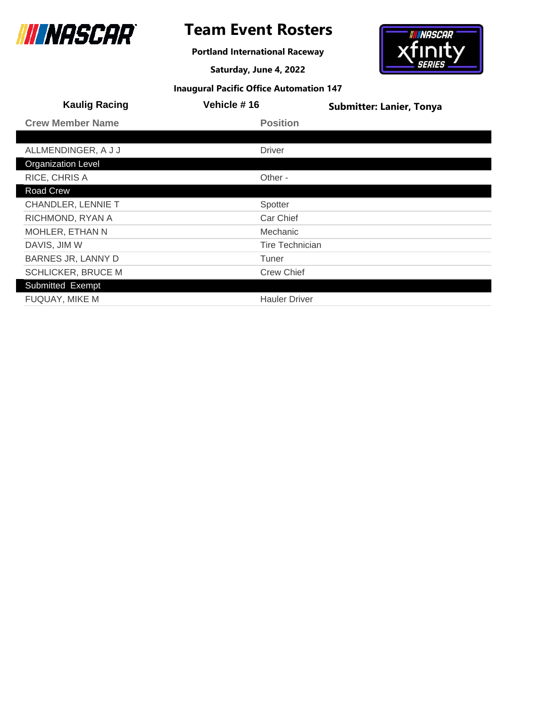

**Portland International Raceway**

**Saturday, June 4, 2022**



| <b>Kaulig Racing</b>      | <b>Vehicle #16</b>     | <b>Submitter: Lanier, Tonya</b> |
|---------------------------|------------------------|---------------------------------|
| <b>Crew Member Name</b>   | <b>Position</b>        |                                 |
|                           |                        |                                 |
| ALLMENDINGER, A J J       | <b>Driver</b>          |                                 |
| <b>Organization Level</b> |                        |                                 |
| RICE, CHRIS A             | Other -                |                                 |
| Road Crew                 |                        |                                 |
| CHANDLER, LENNIE T        | Spotter                |                                 |
| RICHMOND, RYAN A          | Car Chief              |                                 |
| MOHLER, ETHAN N           | <b>Mechanic</b>        |                                 |
| DAVIS, JIM W              | <b>Tire Technician</b> |                                 |
| <b>BARNES JR, LANNY D</b> | Tuner                  |                                 |
| SCHLICKER, BRUCE M        | <b>Crew Chief</b>      |                                 |
| Submitted Exempt          |                        |                                 |
| <b>FUQUAY, MIKE M</b>     | <b>Hauler Driver</b>   |                                 |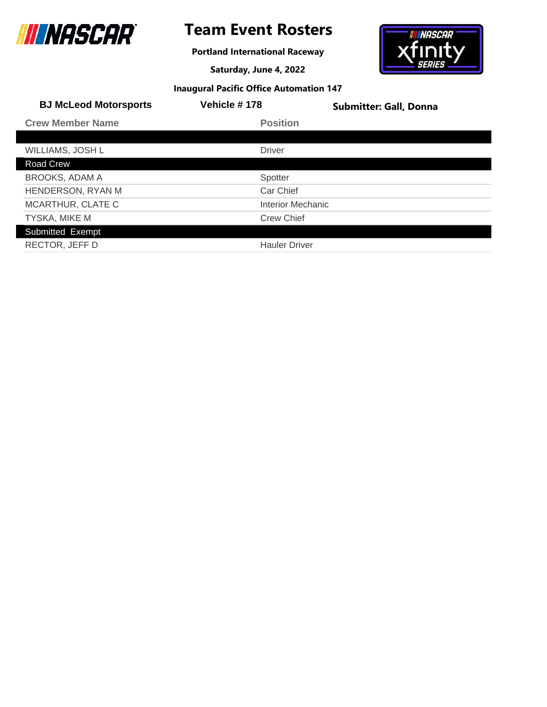

# **Team Event Rosters**

**Portland International Raceway**

**Saturday, June 4, 2022**



| <b>BJ McLeod Motorsports</b> | <b>Vehicle #178</b>  | <b>Submitter: Gall, Donna</b> |
|------------------------------|----------------------|-------------------------------|
| <b>Crew Member Name</b>      | <b>Position</b>      |                               |
|                              |                      |                               |
| WILLIAMS, JOSH L             | <b>Driver</b>        |                               |
| Road Crew                    |                      |                               |
| <b>BROOKS, ADAM A</b>        | Spotter              |                               |
| HENDERSON, RYAN M            | Car Chief            |                               |
| MCARTHUR, CLATE C            | Interior Mechanic    |                               |
| TYSKA, MIKE M                | <b>Crew Chief</b>    |                               |
| Submitted Exempt             |                      |                               |
| RECTOR, JEFF D               | <b>Hauler Driver</b> |                               |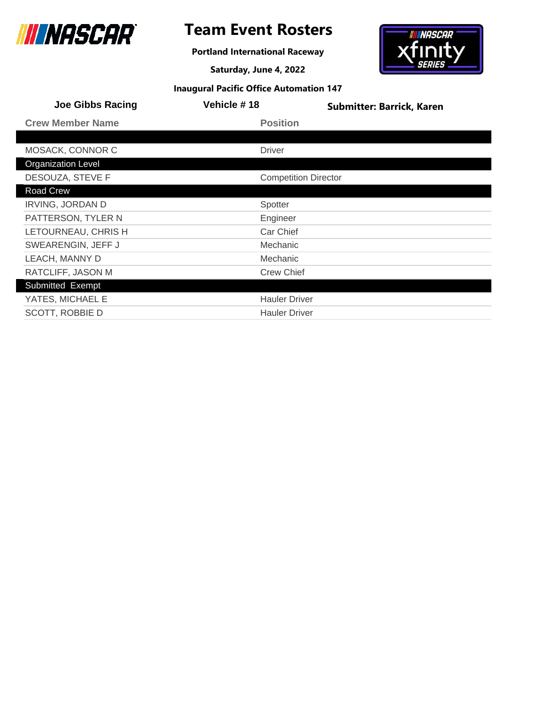

# **Team Event Rosters**

**Portland International Raceway**

**Saturday, June 4, 2022**



| <b>Joe Gibbs Racing</b>   | Vehicle #18          | <b>Submitter: Barrick, Karen</b> |
|---------------------------|----------------------|----------------------------------|
| <b>Crew Member Name</b>   | <b>Position</b>      |                                  |
|                           |                      |                                  |
| MOSACK, CONNOR C          | <b>Driver</b>        |                                  |
| <b>Organization Level</b> |                      |                                  |
| DESOUZA, STEVE F          |                      | <b>Competition Director</b>      |
| Road Crew                 |                      |                                  |
| <b>IRVING, JORDAN D</b>   | Spotter              |                                  |
| PATTERSON, TYLER N        | Engineer             |                                  |
| LETOURNEAU, CHRIS H       | Car Chief            |                                  |
| SWEARENGIN, JEFF J        | Mechanic             |                                  |
| LEACH, MANNY D            | Mechanic             |                                  |
| RATCLIFF, JASON M         | <b>Crew Chief</b>    |                                  |
| Submitted Exempt          |                      |                                  |
| YATES, MICHAEL E          | <b>Hauler Driver</b> |                                  |
| SCOTT, ROBBIE D           | <b>Hauler Driver</b> |                                  |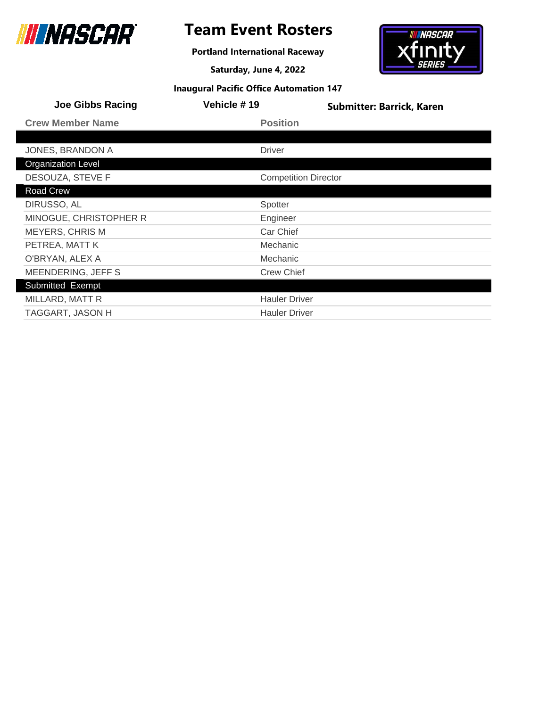

# **Team Event Rosters**

**Portland International Raceway**

**Saturday, June 4, 2022**



| <b>Joe Gibbs Racing</b>   | <b>Vehicle #19</b>          | <b>Submitter: Barrick, Karen</b> |
|---------------------------|-----------------------------|----------------------------------|
| <b>Crew Member Name</b>   | <b>Position</b>             |                                  |
|                           |                             |                                  |
| JONES, BRANDON A          | <b>Driver</b>               |                                  |
| <b>Organization Level</b> |                             |                                  |
| DESOUZA, STEVE F          | <b>Competition Director</b> |                                  |
| Road Crew                 |                             |                                  |
| DIRUSSO, AL               | Spotter                     |                                  |
| MINOGUE, CHRISTOPHER R    | Engineer                    |                                  |
| <b>MEYERS, CHRIS M</b>    | Car Chief                   |                                  |
| PETREA, MATT K            | Mechanic                    |                                  |
| O'BRYAN, ALEX A           | Mechanic                    |                                  |
| MEENDERING, JEFF S        | <b>Crew Chief</b>           |                                  |
| Submitted Exempt          |                             |                                  |
| MILLARD, MATT R           | <b>Hauler Driver</b>        |                                  |
| TAGGART, JASON H          | <b>Hauler Driver</b>        |                                  |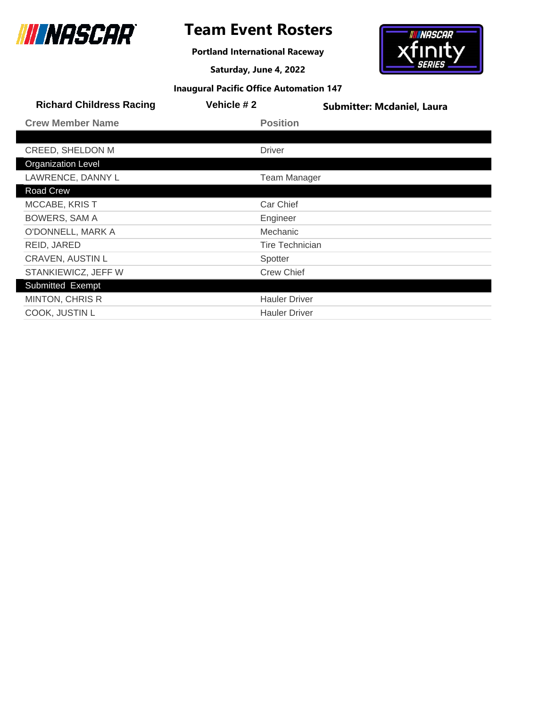

**Portland International Raceway**

**Saturday, June 4, 2022**



| <b>Richard Childress Racing</b> | Vehicle #2    | <b>Submitter: Mcdaniel, Laura</b> |
|---------------------------------|---------------|-----------------------------------|
| <b>Crew Member Name</b>         |               | <b>Position</b>                   |
|                                 |               |                                   |
| CREED, SHELDON M                | <b>Driver</b> |                                   |
| <b>Organization Level</b>       |               |                                   |
| LAWRENCE, DANNY L               |               | <b>Team Manager</b>               |
| Road Crew                       |               |                                   |
| <b>MCCABE, KRIST</b>            |               | Car Chief                         |
| <b>BOWERS, SAM A</b>            | Engineer      |                                   |
| O'DONNELL, MARK A               |               | Mechanic                          |
| REID, JARED                     |               | Tire Technician                   |
| <b>CRAVEN, AUSTIN L</b>         | Spotter       |                                   |
| STANKIEWICZ, JEFF W             |               | <b>Crew Chief</b>                 |
| Submitted Exempt                |               |                                   |
| <b>MINTON, CHRIS R</b>          |               | <b>Hauler Driver</b>              |
| COOK, JUSTIN L                  |               | <b>Hauler Driver</b>              |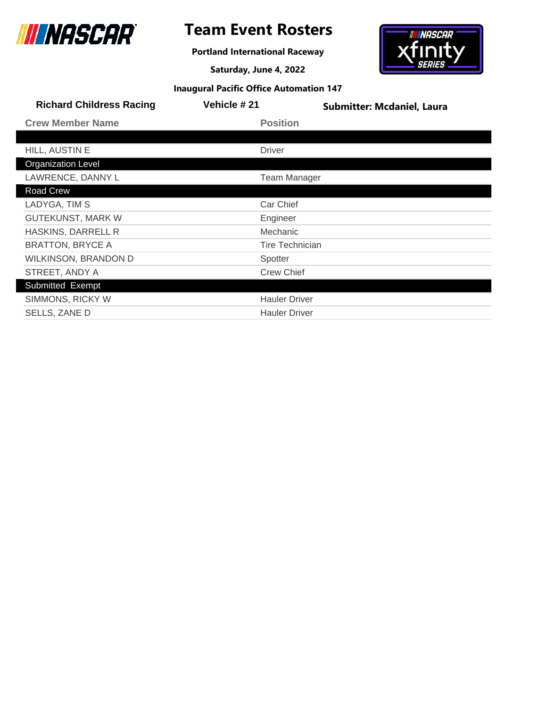

**Portland International Raceway**

**Saturday, June 4, 2022**



| <b>Richard Childress Racing</b> | Vehicle # 21           | <b>Submitter: Mcdaniel, Laura</b> |
|---------------------------------|------------------------|-----------------------------------|
| <b>Crew Member Name</b>         | <b>Position</b>        |                                   |
|                                 |                        |                                   |
| HILL, AUSTIN E                  | <b>Driver</b>          |                                   |
| <b>Organization Level</b>       |                        |                                   |
| LAWRENCE, DANNY L               | <b>Team Manager</b>    |                                   |
| Road Crew                       |                        |                                   |
| LADYGA, TIM S                   | Car Chief              |                                   |
| <b>GUTEKUNST, MARK W</b>        | Engineer               |                                   |
| HASKINS, DARRELL R              | Mechanic               |                                   |
| <b>BRATTON, BRYCE A</b>         | <b>Tire Technician</b> |                                   |
| WILKINSON, BRANDON D            | Spotter                |                                   |
| STREET, ANDY A                  | <b>Crew Chief</b>      |                                   |
| Submitted Exempt                |                        |                                   |
| SIMMONS, RICKY W                | <b>Hauler Driver</b>   |                                   |
| SELLS, ZANE D                   | <b>Hauler Driver</b>   |                                   |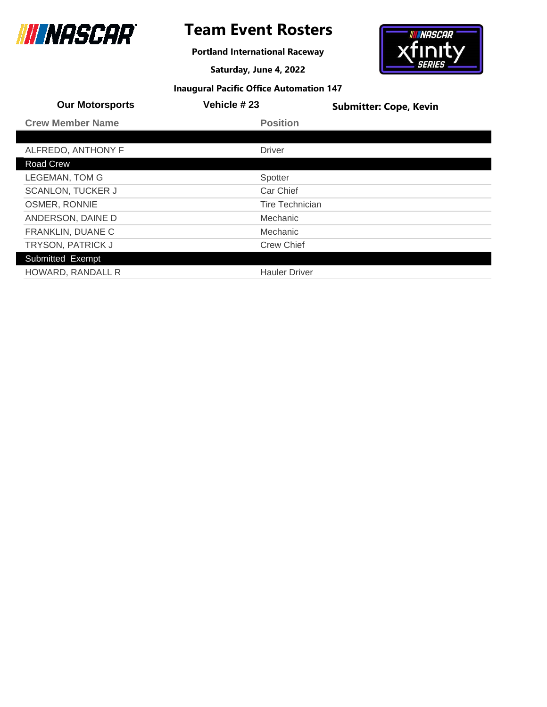

# **Team Event Rosters**

**Portland International Raceway**

**Saturday, June 4, 2022**



| <b>Our Motorsports</b>   | Vehicle #23            | <b>Submitter: Cope, Kevin</b> |
|--------------------------|------------------------|-------------------------------|
| <b>Crew Member Name</b>  | <b>Position</b>        |                               |
|                          |                        |                               |
| ALFREDO, ANTHONY F       | <b>Driver</b>          |                               |
| Road Crew                |                        |                               |
| <b>LEGEMAN, TOM G</b>    | Spotter                |                               |
| <b>SCANLON, TUCKER J</b> | Car Chief              |                               |
| OSMER, RONNIE            | <b>Tire Technician</b> |                               |
| ANDERSON, DAINE D        | Mechanic               |                               |
| FRANKLIN, DUANE C        | Mechanic               |                               |
| TRYSON, PATRICK J        | <b>Crew Chief</b>      |                               |
| Submitted Exempt         |                        |                               |
| HOWARD, RANDALL R        | <b>Hauler Driver</b>   |                               |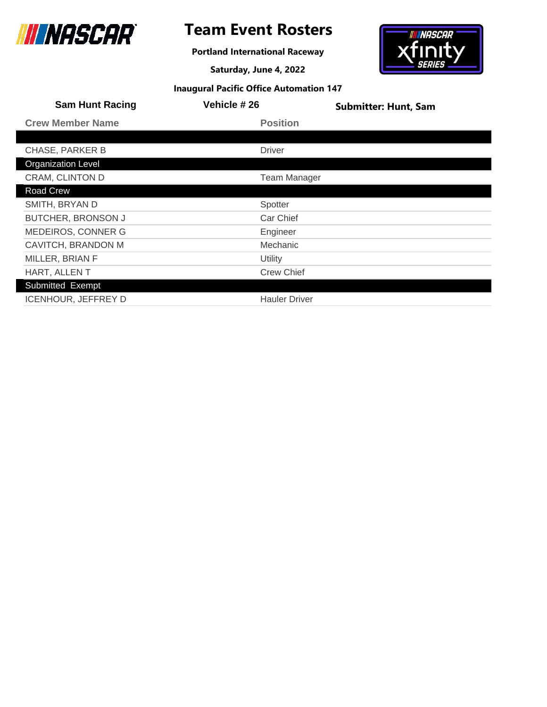

# **Team Event Rosters**

**Portland International Raceway**

**Saturday, June 4, 2022**



|  |  |  | <b>Inaugural Pacific Office Automation 147</b> |  |
|--|--|--|------------------------------------------------|--|
|--|--|--|------------------------------------------------|--|

| <b>Sam Hunt Racing</b>     | Vehicle #26          | <b>Submitter: Hunt, Sam</b> |
|----------------------------|----------------------|-----------------------------|
| <b>Crew Member Name</b>    | <b>Position</b>      |                             |
|                            |                      |                             |
| <b>CHASE, PARKER B</b>     | <b>Driver</b>        |                             |
| <b>Organization Level</b>  |                      |                             |
| CRAM, CLINTON D            | <b>Team Manager</b>  |                             |
| Road Crew                  |                      |                             |
| SMITH, BRYAN D             | Spotter              |                             |
| <b>BUTCHER, BRONSON J</b>  | Car Chief            |                             |
| MEDEIROS, CONNER G         | Engineer             |                             |
| CAVITCH, BRANDON M         | <b>Mechanic</b>      |                             |
| MILLER, BRIAN F            | Utility              |                             |
| HART, ALLENT               | <b>Crew Chief</b>    |                             |
| Submitted Exempt           |                      |                             |
| <b>ICENHOUR, JEFFREY D</b> | <b>Hauler Driver</b> |                             |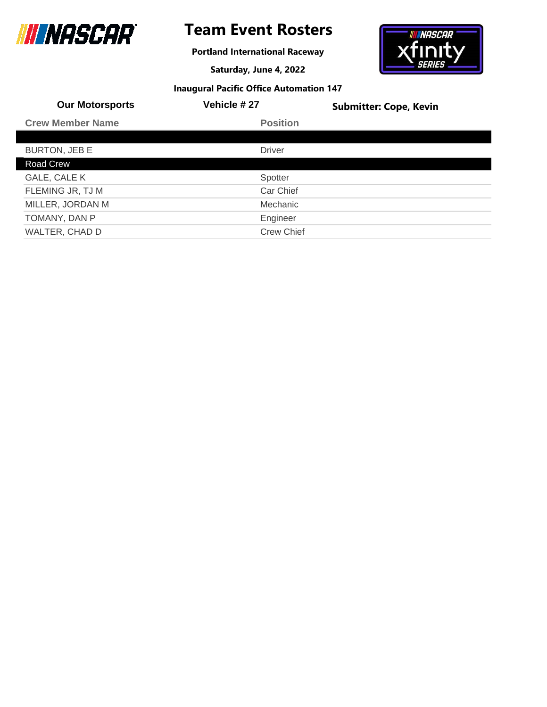

**Portland International Raceway**

**Saturday, June 4, 2022**



| <b>Our Motorsports</b>  | Vehicle #27       | <b>Submitter: Cope, Kevin</b> |
|-------------------------|-------------------|-------------------------------|
| <b>Crew Member Name</b> | <b>Position</b>   |                               |
|                         |                   |                               |
| <b>BURTON, JEB E</b>    | <b>Driver</b>     |                               |
| Road Crew               |                   |                               |
| GALE, CALE K            | Spotter           |                               |
| FLEMING JR, TJ M        | Car Chief         |                               |
| MILLER, JORDAN M        | Mechanic          |                               |
| TOMANY, DAN P           | Engineer          |                               |
| WALTER, CHAD D          | <b>Crew Chief</b> |                               |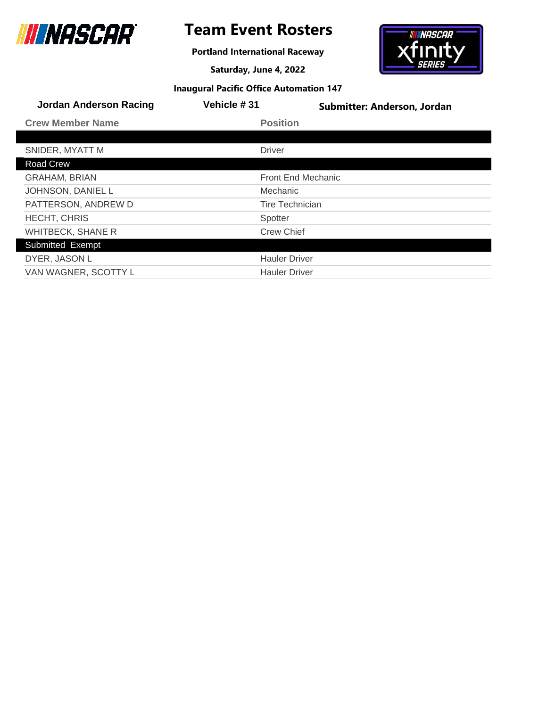

**Portland International Raceway**

**Saturday, June 4, 2022**



| <b>Jordan Anderson Racing</b> | Vehicle #31               | Submitter: Anderson, Jordan |
|-------------------------------|---------------------------|-----------------------------|
| <b>Crew Member Name</b>       | <b>Position</b>           |                             |
|                               |                           |                             |
| SNIDER, MYATT M               | <b>Driver</b>             |                             |
| Road Crew                     |                           |                             |
| <b>GRAHAM, BRIAN</b>          | <b>Front End Mechanic</b> |                             |
| JOHNSON, DANIEL L             | Mechanic                  |                             |
| PATTERSON, ANDREW D           | <b>Tire Technician</b>    |                             |
| <b>HECHT, CHRIS</b>           | Spotter                   |                             |
| <b>WHITBECK, SHANE R</b>      | <b>Crew Chief</b>         |                             |
| Submitted Exempt              |                           |                             |
| DYER, JASON L                 | <b>Hauler Driver</b>      |                             |
| VAN WAGNER, SCOTTY L          | <b>Hauler Driver</b>      |                             |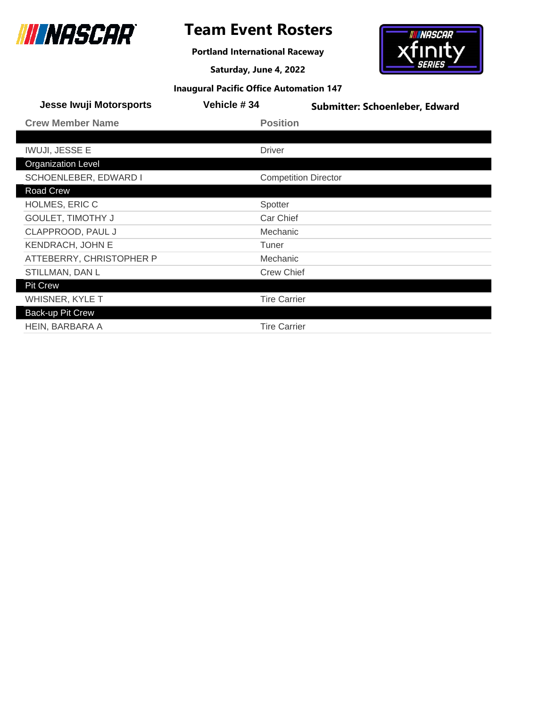

**Portland International Raceway**

**Saturday, June 4, 2022**



| <b>Jesse Iwuji Motorsports</b> | Vehicle #34                 | <b>Submitter: Schoenleber, Edward</b> |
|--------------------------------|-----------------------------|---------------------------------------|
| <b>Crew Member Name</b>        | <b>Position</b>             |                                       |
|                                |                             |                                       |
| <b>IWUJI, JESSE E</b>          | <b>Driver</b>               |                                       |
| <b>Organization Level</b>      |                             |                                       |
| SCHOENLEBER, EDWARD I          | <b>Competition Director</b> |                                       |
| <b>Road Crew</b>               |                             |                                       |
| <b>HOLMES, ERIC C</b>          | Spotter                     |                                       |
| <b>GOULET, TIMOTHY J</b>       | Car Chief                   |                                       |
| CLAPPROOD, PAUL J              | Mechanic                    |                                       |
| <b>KENDRACH, JOHN E</b>        | Tuner                       |                                       |
| ATTEBERRY, CHRISTOPHER P       | Mechanic                    |                                       |
| STILLMAN, DAN L                | <b>Crew Chief</b>           |                                       |
| <b>Pit Crew</b>                |                             |                                       |
| <b>WHISNER, KYLE T</b>         | <b>Tire Carrier</b>         |                                       |
| Back-up Pit Crew               |                             |                                       |
| HEIN, BARBARA A                | <b>Tire Carrier</b>         |                                       |
|                                |                             |                                       |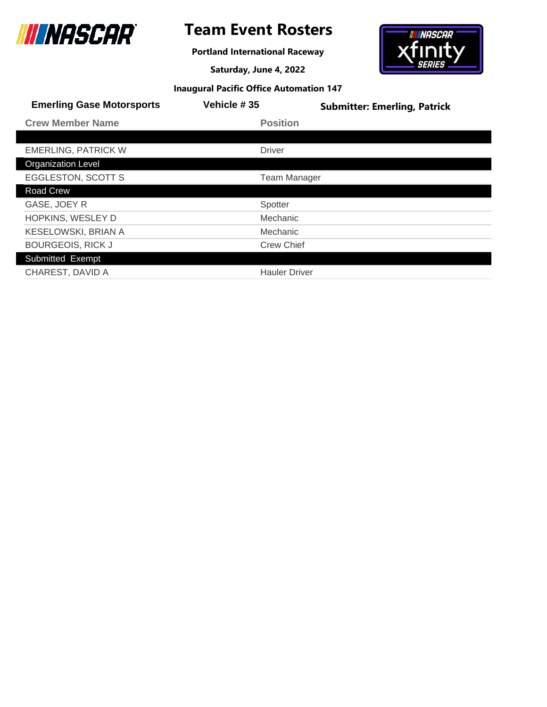

**Portland International Raceway**

**Saturday, June 4, 2022**



| <b>Emerling Gase Motorsports</b> | Vehicle #35          | <b>Submitter: Emerling, Patrick</b> |
|----------------------------------|----------------------|-------------------------------------|
| <b>Crew Member Name</b>          | <b>Position</b>      |                                     |
|                                  |                      |                                     |
| <b>EMERLING, PATRICK W</b>       | <b>Driver</b>        |                                     |
| <b>Organization Level</b>        |                      |                                     |
| <b>EGGLESTON, SCOTT S</b>        | <b>Team Manager</b>  |                                     |
| <b>Road Crew</b>                 |                      |                                     |
| GASE, JOEY R                     | Spotter              |                                     |
| HOPKINS, WESLEY D                | Mechanic             |                                     |
| KESELOWSKI, BRIAN A              | Mechanic             |                                     |
| <b>BOURGEOIS, RICK J</b>         | <b>Crew Chief</b>    |                                     |
| Submitted Exempt                 |                      |                                     |
| CHAREST, DAVID A                 | <b>Hauler Driver</b> |                                     |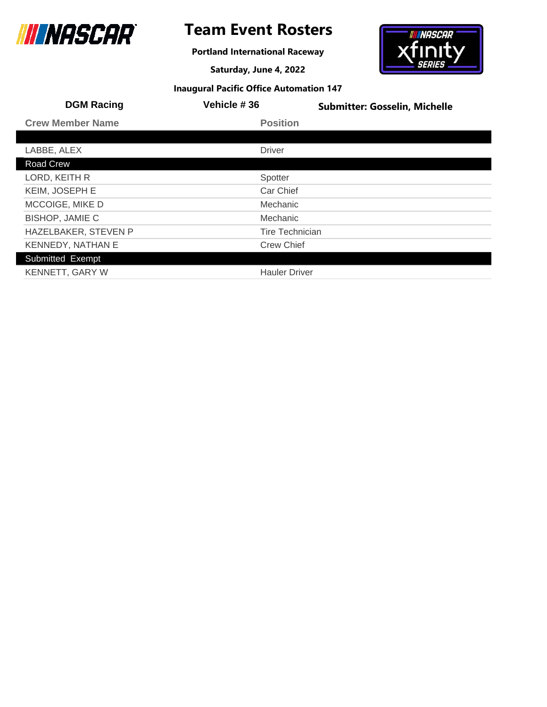

# **Team Event Rosters**

**Portland International Raceway**

**Saturday, June 4, 2022**



| <b>DGM Racing</b>       | Vehicle #36            | <b>Submitter: Gosselin, Michelle</b> |
|-------------------------|------------------------|--------------------------------------|
| <b>Crew Member Name</b> | <b>Position</b>        |                                      |
|                         |                        |                                      |
| LABBE, ALEX             | <b>Driver</b>          |                                      |
| Road Crew               |                        |                                      |
| LORD, KEITH R           | Spotter                |                                      |
| KEIM, JOSEPH E          | Car Chief              |                                      |
| MCCOIGE, MIKE D         | Mechanic               |                                      |
| <b>BISHOP, JAMIE C</b>  | <b>Mechanic</b>        |                                      |
| HAZELBAKER, STEVEN P    | <b>Tire Technician</b> |                                      |
| KENNEDY, NATHAN E       | <b>Crew Chief</b>      |                                      |
| Submitted Exempt        |                        |                                      |
| <b>KENNETT, GARY W</b>  | <b>Hauler Driver</b>   |                                      |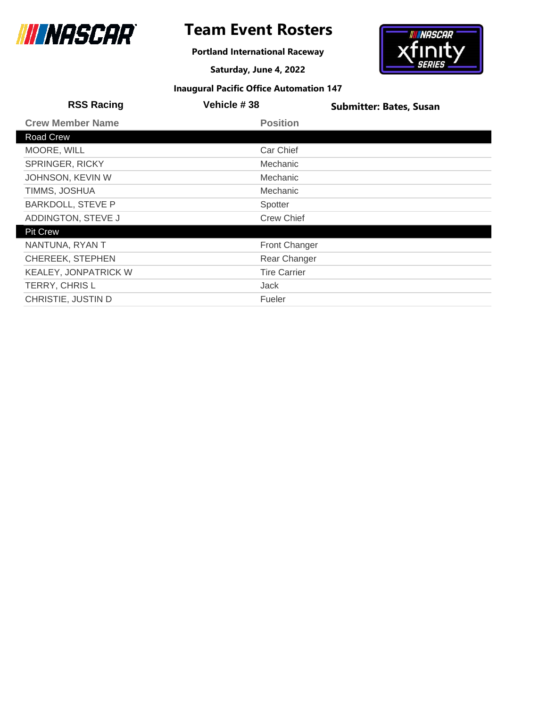

**Portland International Raceway**

**Saturday, June 4, 2022**



| <b>RSS Racing</b>           | <b>Vehicle #38</b>   | <b>Submitter: Bates, Susan</b> |
|-----------------------------|----------------------|--------------------------------|
| <b>Crew Member Name</b>     | <b>Position</b>      |                                |
| Road Crew                   |                      |                                |
| MOORE, WILL                 | Car Chief            |                                |
| <b>SPRINGER, RICKY</b>      | <b>Mechanic</b>      |                                |
| JOHNSON, KEVIN W            | Mechanic             |                                |
| TIMMS, JOSHUA               | Mechanic             |                                |
| <b>BARKDOLL, STEVE P</b>    | Spotter              |                                |
| ADDINGTON, STEVE J          | <b>Crew Chief</b>    |                                |
| <b>Pit Crew</b>             |                      |                                |
| NANTUNA, RYAN T             | <b>Front Changer</b> |                                |
| <b>CHEREEK, STEPHEN</b>     | Rear Changer         |                                |
| <b>KEALEY, JONPATRICK W</b> | <b>Tire Carrier</b>  |                                |
| TERRY, CHRIS L              | Jack                 |                                |
| CHRISTIE, JUSTIN D          | Fueler               |                                |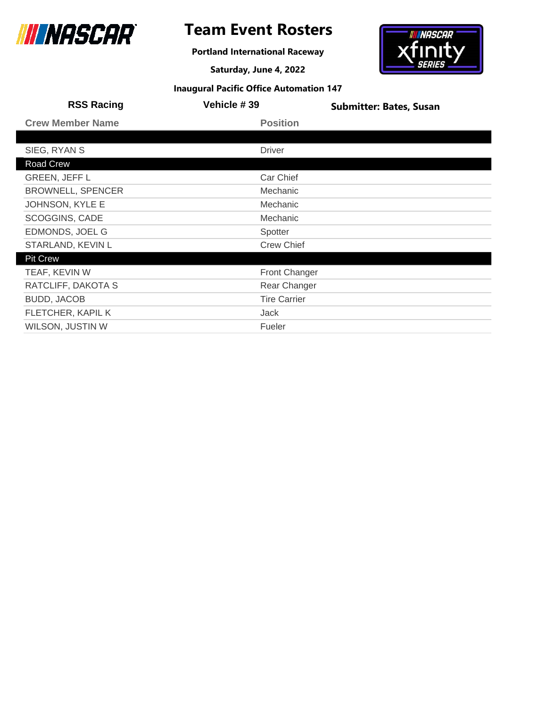

# **Team Event Rosters**

**Portland International Raceway**

**Saturday, June 4, 2022**



| <b>RSS Racing</b>        | <b>Vehicle #39</b>   | <b>Submitter: Bates, Susan</b> |
|--------------------------|----------------------|--------------------------------|
| <b>Crew Member Name</b>  | <b>Position</b>      |                                |
|                          |                      |                                |
| SIEG, RYAN S             | <b>Driver</b>        |                                |
| Road Crew                |                      |                                |
| <b>GREEN, JEFF L</b>     | Car Chief            |                                |
| <b>BROWNELL, SPENCER</b> | <b>Mechanic</b>      |                                |
| JOHNSON, KYLE E          | Mechanic             |                                |
| <b>SCOGGINS, CADE</b>    | Mechanic             |                                |
| EDMONDS, JOEL G          | Spotter              |                                |
| STARLAND, KEVIN L        | <b>Crew Chief</b>    |                                |
| <b>Pit Crew</b>          |                      |                                |
| TEAF, KEVIN W            | <b>Front Changer</b> |                                |
| RATCLIFF, DAKOTA S       | Rear Changer         |                                |
| <b>BUDD, JACOB</b>       | <b>Tire Carrier</b>  |                                |
| FLETCHER, KAPIL K        | Jack                 |                                |
| WILSON, JUSTIN W         | Fueler               |                                |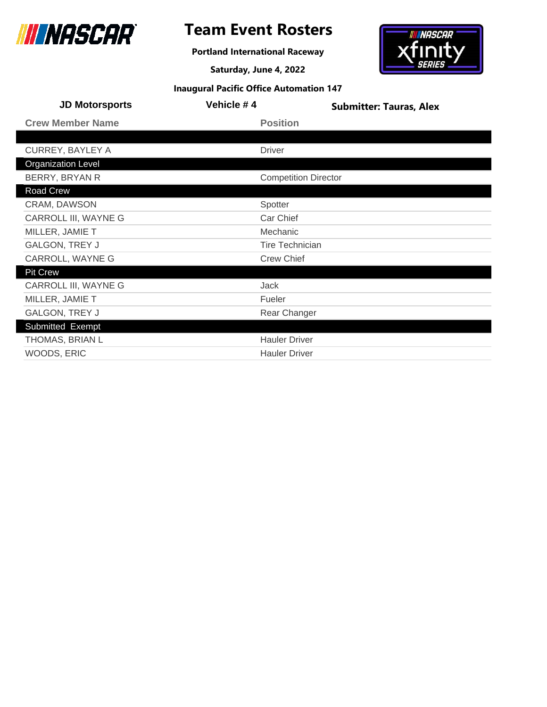

**Portland International Raceway**

**Saturday, June 4, 2022**



| <b>JD Motorsports</b>     | Vehicle #4 | <b>Submitter: Tauras, Alex</b> |
|---------------------------|------------|--------------------------------|
| <b>Crew Member Name</b>   |            | <b>Position</b>                |
|                           |            |                                |
| <b>CURREY, BAYLEY A</b>   |            | <b>Driver</b>                  |
| <b>Organization Level</b> |            |                                |
| BERRY, BRYAN R            |            | <b>Competition Director</b>    |
| Road Crew                 |            |                                |
| CRAM, DAWSON              |            | Spotter                        |
| CARROLL III, WAYNE G      |            | Car Chief                      |
| MILLER, JAMIE T           |            | Mechanic                       |
| <b>GALGON, TREY J</b>     |            | <b>Tire Technician</b>         |
| CARROLL, WAYNE G          |            | <b>Crew Chief</b>              |
| <b>Pit Crew</b>           |            |                                |
| CARROLL III, WAYNE G      |            | Jack                           |
| MILLER, JAMIE T           |            | Fueler                         |
| <b>GALGON, TREY J</b>     |            | Rear Changer                   |
| Submitted Exempt          |            |                                |
| THOMAS, BRIAN L           |            | <b>Hauler Driver</b>           |
| WOODS, ERIC               |            | <b>Hauler Driver</b>           |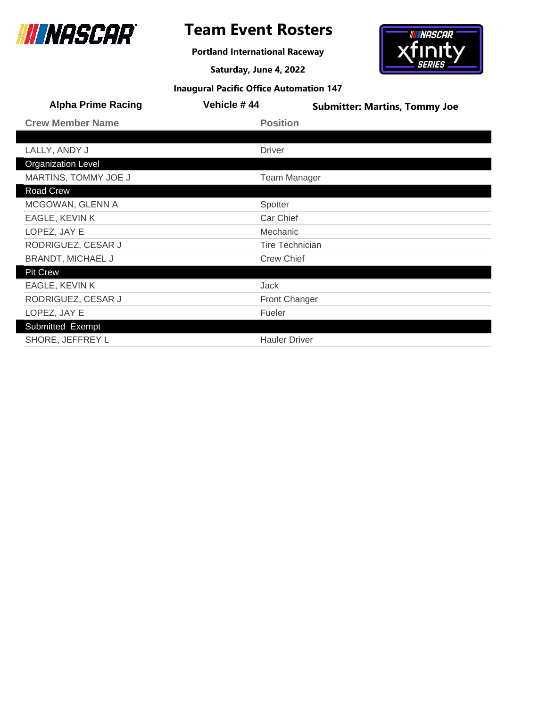

**Portland International Raceway**

**Saturday, June 4, 2022**



| <b>Alpha Prime Racing</b> | Vehicle #44            | <b>Submitter: Martins, Tommy Joe</b> |
|---------------------------|------------------------|--------------------------------------|
| <b>Crew Member Name</b>   | <b>Position</b>        |                                      |
|                           |                        |                                      |
| LALLY, ANDY J             | <b>Driver</b>          |                                      |
| <b>Organization Level</b> |                        |                                      |
| MARTINS, TOMMY JOE J      | <b>Team Manager</b>    |                                      |
| Road Crew                 |                        |                                      |
| MCGOWAN, GLENN A          | Spotter                |                                      |
| EAGLE, KEVIN K            | Car Chief              |                                      |
| LOPEZ, JAY E              | Mechanic               |                                      |
| RODRIGUEZ, CESAR J        | <b>Tire Technician</b> |                                      |
| <b>BRANDT, MICHAEL J</b>  | <b>Crew Chief</b>      |                                      |
| <b>Pit Crew</b>           |                        |                                      |
| EAGLE, KEVIN K            | <b>Jack</b>            |                                      |
| RODRIGUEZ, CESAR J        | <b>Front Changer</b>   |                                      |
| LOPEZ, JAY E              | Fueler                 |                                      |
| <b>Submitted Exempt</b>   |                        |                                      |
| SHORE, JEFFREY L          | <b>Hauler Driver</b>   |                                      |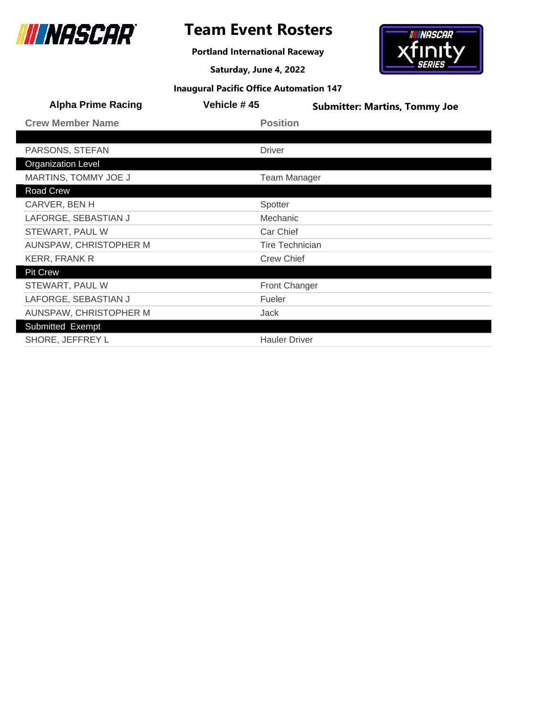

# **Team Event Rosters**

**Portland International Raceway**

**Saturday, June 4, 2022**



| <b>Alpha Prime Racing</b> | Vehicle #45            | <b>Submitter: Martins, Tommy Joe</b> |
|---------------------------|------------------------|--------------------------------------|
| <b>Crew Member Name</b>   | <b>Position</b>        |                                      |
|                           |                        |                                      |
| PARSONS, STEFAN           | <b>Driver</b>          |                                      |
| <b>Organization Level</b> |                        |                                      |
| MARTINS, TOMMY JOE J      | <b>Team Manager</b>    |                                      |
| Road Crew                 |                        |                                      |
| CARVER, BEN H             | Spotter                |                                      |
| LAFORGE, SEBASTIAN J      | Mechanic               |                                      |
| STEWART, PAUL W           | Car Chief              |                                      |
| AUNSPAW, CHRISTOPHER M    | <b>Tire Technician</b> |                                      |
| KERR, FRANK R             | <b>Crew Chief</b>      |                                      |
| <b>Pit Crew</b>           |                        |                                      |
| STEWART, PAUL W           | <b>Front Changer</b>   |                                      |
| LAFORGE, SEBASTIAN J      | Fueler                 |                                      |
| AUNSPAW, CHRISTOPHER M    | Jack                   |                                      |
| Submitted Exempt          |                        |                                      |
| SHORE, JEFFREY L          | <b>Hauler Driver</b>   |                                      |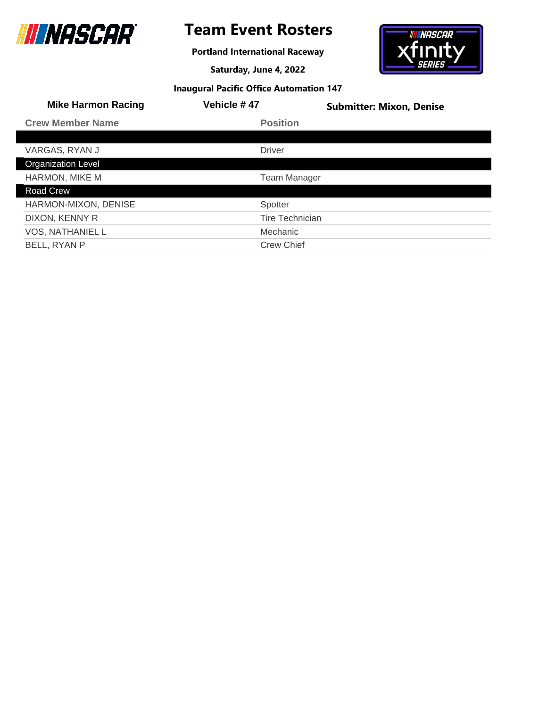

# **Team Event Rosters**

**Portland International Raceway**

**Saturday, June 4, 2022**



| <b>Inaugural Pacific Office Automation 147</b> |  |  |  |
|------------------------------------------------|--|--|--|
|------------------------------------------------|--|--|--|

| <b>Mike Harmon Racing</b> | <b>Vehicle #47</b>     | <b>Submitter: Mixon, Denise</b> |
|---------------------------|------------------------|---------------------------------|
| <b>Crew Member Name</b>   | <b>Position</b>        |                                 |
|                           |                        |                                 |
| VARGAS, RYAN J            | <b>Driver</b>          |                                 |
| <b>Organization Level</b> |                        |                                 |
| <b>HARMON, MIKE M</b>     | <b>Team Manager</b>    |                                 |
| Road Crew                 |                        |                                 |
| HARMON-MIXON, DENISE      | Spotter                |                                 |
| DIXON, KENNY R            | <b>Tire Technician</b> |                                 |
| <b>VOS, NATHANIEL L</b>   | Mechanic               |                                 |
| BELL, RYAN P              | <b>Crew Chief</b>      |                                 |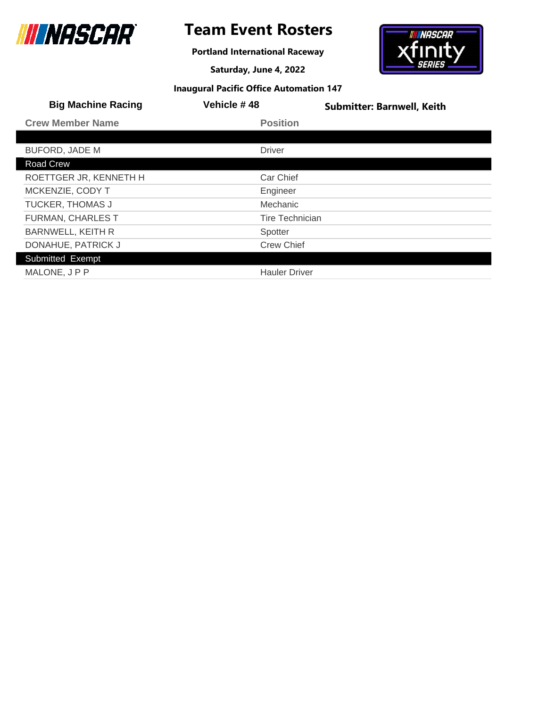

# **Team Event Rosters**

**Portland International Raceway**

**Saturday, June 4, 2022**



| <b>Big Machine Racing</b> | Vehicle #48          | <b>Submitter: Barnwell, Keith</b> |
|---------------------------|----------------------|-----------------------------------|
| <b>Crew Member Name</b>   | <b>Position</b>      |                                   |
|                           |                      |                                   |
| <b>BUFORD, JADE M</b>     | <b>Driver</b>        |                                   |
| Road Crew                 |                      |                                   |
| ROETTGER JR, KENNETH H    | Car Chief            |                                   |
| MCKENZIE, CODY T          | Engineer             |                                   |
| <b>TUCKER, THOMAS J</b>   | Mechanic             |                                   |
| <b>FURMAN, CHARLES T</b>  | Tire Technician      |                                   |
| <b>BARNWELL, KEITH R</b>  | Spotter              |                                   |
| DONAHUE, PATRICK J        | <b>Crew Chief</b>    |                                   |
| Submitted Exempt          |                      |                                   |
| MALONE, JPP               | <b>Hauler Driver</b> |                                   |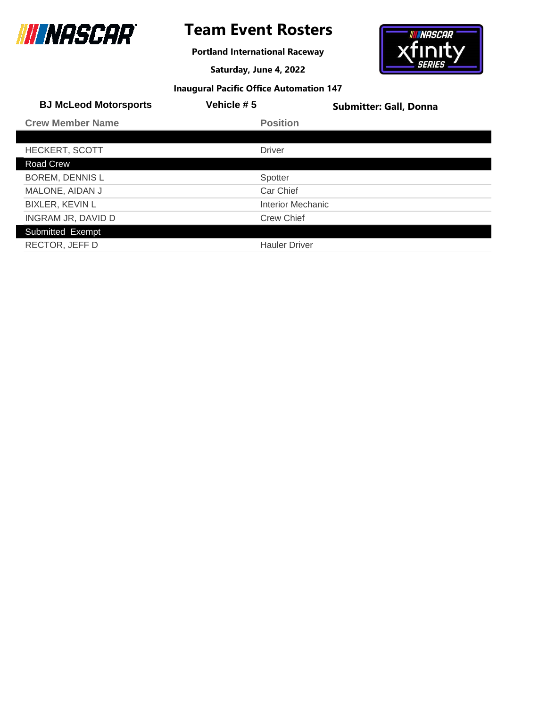

# **Team Event Rosters**

**Portland International Raceway**

**Saturday, June 4, 2022**



| <b>BJ McLeod Motorsports</b> | Vehicle #5           | <b>Submitter: Gall, Donna</b> |
|------------------------------|----------------------|-------------------------------|
| <b>Crew Member Name</b>      | <b>Position</b>      |                               |
|                              |                      |                               |
| <b>HECKERT, SCOTT</b>        | <b>Driver</b>        |                               |
| Road Crew                    |                      |                               |
| <b>BOREM, DENNIS L</b>       | Spotter              |                               |
| MALONE, AIDAN J              | Car Chief            |                               |
| <b>BIXLER, KEVIN L</b>       | Interior Mechanic    |                               |
| INGRAM JR, DAVID D           | <b>Crew Chief</b>    |                               |
| Submitted Exempt             |                      |                               |
| RECTOR, JEFF D               | <b>Hauler Driver</b> |                               |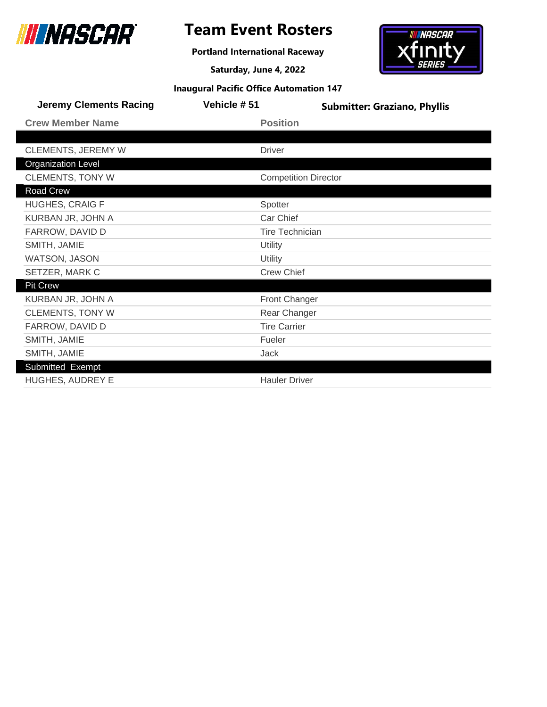

# **Team Event Rosters**

**Portland International Raceway**

**Saturday, June 4, 2022**



|  |  |  | <b>Inaugural Pacific Office Automation 147</b> |  |
|--|--|--|------------------------------------------------|--|
|--|--|--|------------------------------------------------|--|

| <b>Jeremy Clements Racing</b> | Vehicle # 51                | <b>Submitter: Graziano, Phyllis</b> |
|-------------------------------|-----------------------------|-------------------------------------|
| <b>Crew Member Name</b>       | <b>Position</b>             |                                     |
|                               |                             |                                     |
| <b>CLEMENTS, JEREMY W</b>     | <b>Driver</b>               |                                     |
| <b>Organization Level</b>     |                             |                                     |
| <b>CLEMENTS, TONY W</b>       | <b>Competition Director</b> |                                     |
| Road Crew                     |                             |                                     |
| <b>HUGHES, CRAIG F</b>        | Spotter                     |                                     |
| KURBAN JR, JOHN A             | Car Chief                   |                                     |
| FARROW, DAVID D               | <b>Tire Technician</b>      |                                     |
| SMITH, JAMIE                  | Utility                     |                                     |
| WATSON, JASON                 | Utility                     |                                     |
| SETZER, MARK C                | <b>Crew Chief</b>           |                                     |
| <b>Pit Crew</b>               |                             |                                     |
| KURBAN JR, JOHN A             | <b>Front Changer</b>        |                                     |
| <b>CLEMENTS, TONY W</b>       | Rear Changer                |                                     |
| FARROW, DAVID D               | <b>Tire Carrier</b>         |                                     |
| SMITH, JAMIE                  | Fueler                      |                                     |
| SMITH, JAMIE                  | Jack                        |                                     |
| Submitted Exempt              |                             |                                     |
| <b>HUGHES, AUDREY E</b>       | <b>Hauler Driver</b>        |                                     |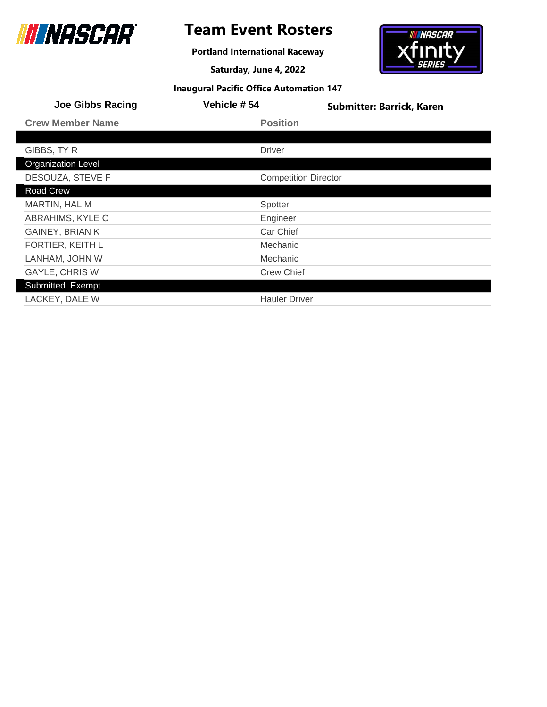

# **Team Event Rosters**

**Portland International Raceway**

**Saturday, June 4, 2022**



| <b>Joe Gibbs Racing</b>   | <b>Vehicle #54</b>          | <b>Submitter: Barrick, Karen</b> |
|---------------------------|-----------------------------|----------------------------------|
| <b>Crew Member Name</b>   | <b>Position</b>             |                                  |
|                           |                             |                                  |
| GIBBS, TY R               | <b>Driver</b>               |                                  |
| <b>Organization Level</b> |                             |                                  |
| DESOUZA, STEVE F          | <b>Competition Director</b> |                                  |
| Road Crew                 |                             |                                  |
| MARTIN, HAL M             | Spotter                     |                                  |
| ABRAHIMS, KYLE C          | Engineer                    |                                  |
| <b>GAINEY, BRIAN K</b>    | Car Chief                   |                                  |
| FORTIER, KEITH L          | Mechanic                    |                                  |
| LANHAM, JOHN W            | Mechanic                    |                                  |
| <b>GAYLE, CHRIS W</b>     | <b>Crew Chief</b>           |                                  |
| Submitted Exempt          |                             |                                  |
| LACKEY, DALE W            | <b>Hauler Driver</b>        |                                  |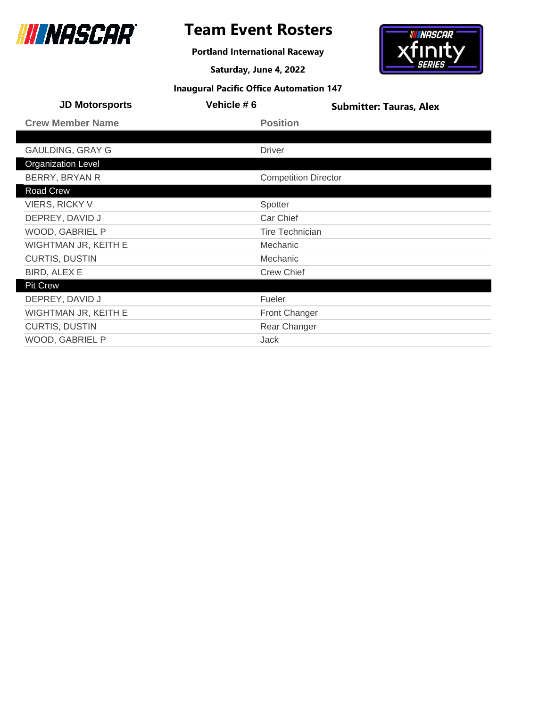

**Portland International Raceway**

**Saturday, June 4, 2022**



| <b>JD Motorsports</b>     | Vehicle #6 |                             | <b>Submitter: Tauras, Alex</b> |
|---------------------------|------------|-----------------------------|--------------------------------|
| <b>Crew Member Name</b>   |            | <b>Position</b>             |                                |
|                           |            |                             |                                |
| <b>GAULDING, GRAY G</b>   |            | <b>Driver</b>               |                                |
| <b>Organization Level</b> |            |                             |                                |
| BERRY, BRYAN R            |            | <b>Competition Director</b> |                                |
| Road Crew                 |            |                             |                                |
| <b>VIERS, RICKY V</b>     |            | Spotter                     |                                |
| DEPREY, DAVID J           |            | Car Chief                   |                                |
| WOOD, GABRIEL P           |            | <b>Tire Technician</b>      |                                |
| WIGHTMAN JR, KEITH E      |            | Mechanic                    |                                |
| <b>CURTIS, DUSTIN</b>     |            | Mechanic                    |                                |
| BIRD, ALEX E              |            | <b>Crew Chief</b>           |                                |
| <b>Pit Crew</b>           |            |                             |                                |
| DEPREY, DAVID J           |            | Fueler                      |                                |
| WIGHTMAN JR, KEITH E      |            | <b>Front Changer</b>        |                                |
| <b>CURTIS, DUSTIN</b>     |            | Rear Changer                |                                |
| WOOD, GABRIEL P           |            | Jack                        |                                |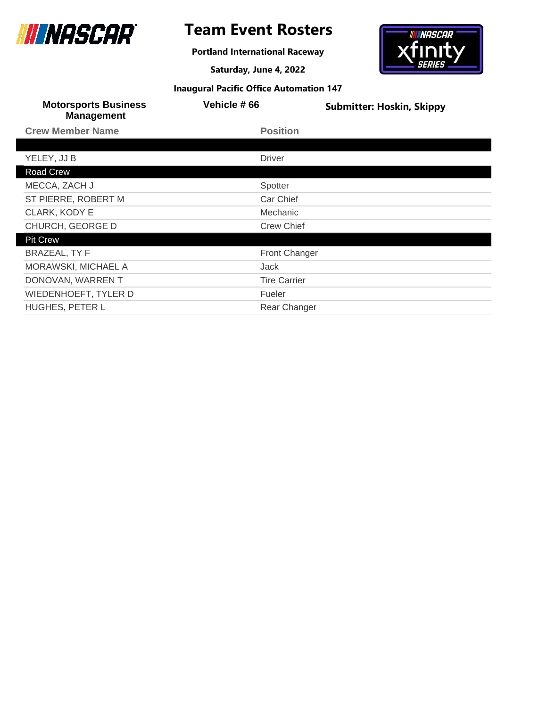

# **Team Event Rosters**

**Portland International Raceway**

**Saturday, June 4, 2022**



|  |  |  | <b>Inaugural Pacific Office Automation 147</b> |  |
|--|--|--|------------------------------------------------|--|
|--|--|--|------------------------------------------------|--|

| <b>Motorsports Business</b><br><b>Management</b> | <b>Vehicle #66</b>  | <b>Submitter: Hoskin, Skippy</b> |
|--------------------------------------------------|---------------------|----------------------------------|
| <b>Crew Member Name</b>                          | <b>Position</b>     |                                  |
|                                                  |                     |                                  |
| YELEY, JJ B                                      | <b>Driver</b>       |                                  |
| Road Crew                                        |                     |                                  |
| MECCA, ZACH J                                    | Spotter             |                                  |
| ST PIERRE, ROBERT M                              | Car Chief           |                                  |
| CLARK, KODY E                                    | Mechanic            |                                  |
| CHURCH, GEORGE D                                 | <b>Crew Chief</b>   |                                  |
| <b>Pit Crew</b>                                  |                     |                                  |
| <b>BRAZEAL, TY F</b>                             | Front Changer       |                                  |
| <b>MORAWSKI, MICHAEL A</b>                       | Jack                |                                  |
| DONOVAN, WARREN T                                | <b>Tire Carrier</b> |                                  |
| <b>WIEDENHOEFT, TYLER D</b>                      | Fueler              |                                  |
| HUGHES, PETER L                                  | Rear Changer        |                                  |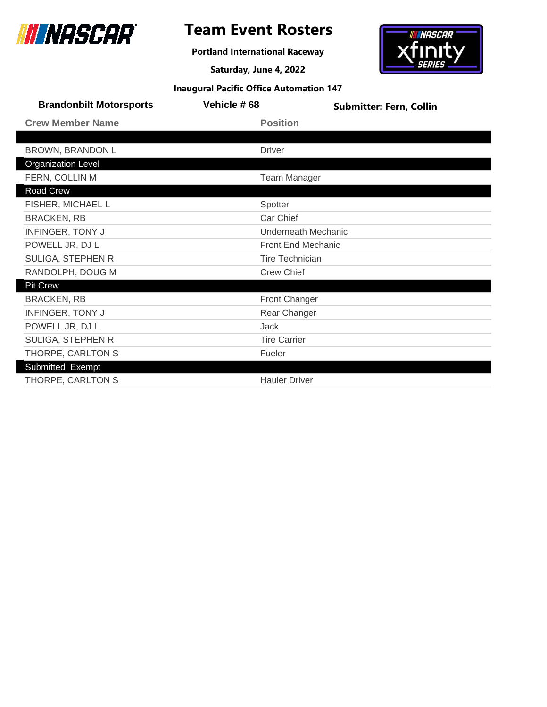

**Portland International Raceway**

**Saturday, June 4, 2022**



| <b>Inaugural Pacific Office Automation 147</b> |  |  |  |
|------------------------------------------------|--|--|--|
|------------------------------------------------|--|--|--|

| <b>Brandonbilt Motorsports</b> | Vehicle #68            | <b>Submitter: Fern, Collin</b> |
|--------------------------------|------------------------|--------------------------------|
| <b>Crew Member Name</b>        | <b>Position</b>        |                                |
|                                |                        |                                |
| <b>BROWN, BRANDON L</b>        | <b>Driver</b>          |                                |
| <b>Organization Level</b>      |                        |                                |
| FERN, COLLIN M                 | <b>Team Manager</b>    |                                |
| Road Crew                      |                        |                                |
| FISHER, MICHAEL L              | Spotter                |                                |
| <b>BRACKEN, RB</b>             | Car Chief              |                                |
| <b>INFINGER, TONY J</b>        | Underneath Mechanic    |                                |
| POWELL JR, DJ L                | Front End Mechanic     |                                |
| SULIGA, STEPHEN R              | <b>Tire Technician</b> |                                |
| RANDOLPH, DOUG M               | <b>Crew Chief</b>      |                                |
| <b>Pit Crew</b>                |                        |                                |
| <b>BRACKEN, RB</b>             | <b>Front Changer</b>   |                                |
| <b>INFINGER, TONY J</b>        | Rear Changer           |                                |
| POWELL JR, DJ L                | Jack                   |                                |
| SULIGA, STEPHEN R              | <b>Tire Carrier</b>    |                                |
| THORPE, CARLTON S              | Fueler                 |                                |
| Submitted Exempt               |                        |                                |
| THORPE, CARLTON S              | <b>Hauler Driver</b>   |                                |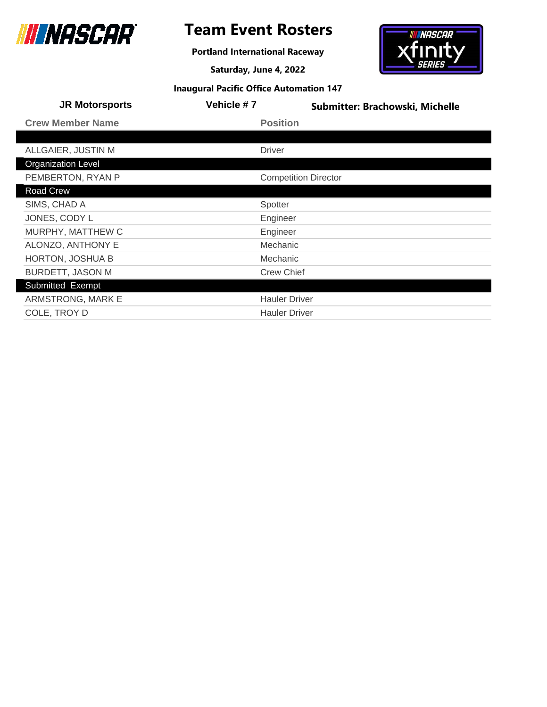

# **Team Event Rosters**

**Portland International Raceway**

**Saturday, June 4, 2022**



| <b>JR Motorsports</b>     | Vehicle #7        | Submitter: Brachowski, Michelle |
|---------------------------|-------------------|---------------------------------|
| <b>Crew Member Name</b>   | <b>Position</b>   |                                 |
|                           |                   |                                 |
| ALLGAIER, JUSTIN M        | <b>Driver</b>     |                                 |
| <b>Organization Level</b> |                   |                                 |
| PEMBERTON, RYAN P         |                   | <b>Competition Director</b>     |
| Road Crew                 |                   |                                 |
| SIMS, CHAD A              | Spotter           |                                 |
| JONES, CODY L             | Engineer          |                                 |
| MURPHY, MATTHEW C         | Engineer          |                                 |
| ALONZO, ANTHONY E         | Mechanic          |                                 |
| <b>HORTON, JOSHUA B</b>   | Mechanic          |                                 |
| <b>BURDETT, JASON M</b>   | <b>Crew Chief</b> |                                 |
| Submitted Exempt          |                   |                                 |
| ARMSTRONG, MARK E         |                   | <b>Hauler Driver</b>            |
| COLE, TROY D              |                   | <b>Hauler Driver</b>            |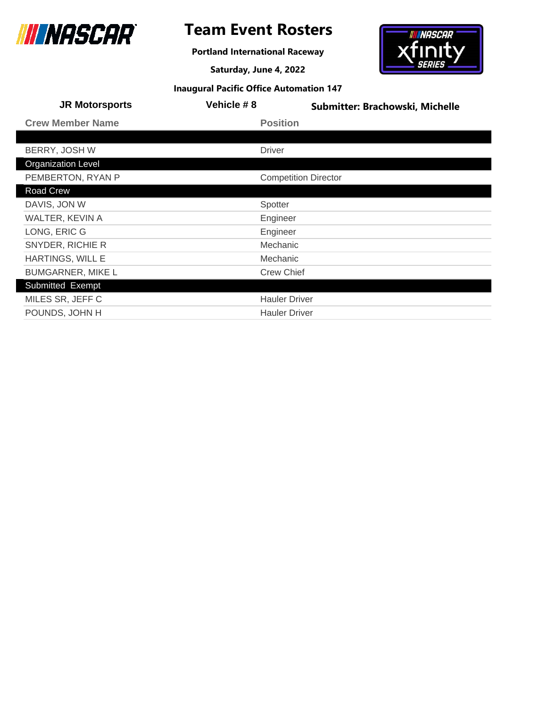

# **Team Event Rosters**

**Portland International Raceway**

**Saturday, June 4, 2022**



| <b>JR Motorsports</b>     | Vehicle #8    | Submitter: Brachowski, Michelle |
|---------------------------|---------------|---------------------------------|
| <b>Crew Member Name</b>   |               | <b>Position</b>                 |
|                           |               |                                 |
| BERRY, JOSH W             | <b>Driver</b> |                                 |
| <b>Organization Level</b> |               |                                 |
| PEMBERTON, RYAN P         |               | <b>Competition Director</b>     |
| Road Crew                 |               |                                 |
| DAVIS, JON W              | Spotter       |                                 |
| <b>WALTER, KEVIN A</b>    |               | Engineer                        |
| LONG, ERIC G              |               | Engineer                        |
| SNYDER, RICHIE R          |               | Mechanic                        |
| <b>HARTINGS, WILL E</b>   |               | Mechanic                        |
| <b>BUMGARNER, MIKE L</b>  |               | <b>Crew Chief</b>               |
| Submitted Exempt          |               |                                 |
| MILES SR, JEFF C          |               | <b>Hauler Driver</b>            |
| POUNDS, JOHN H            |               | <b>Hauler Driver</b>            |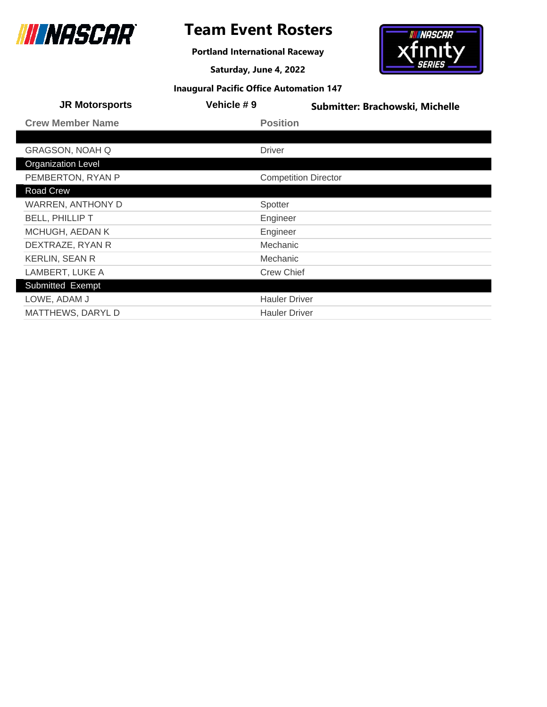

**Portland International Raceway**

**Saturday, June 4, 2022**



| <b>JR Motorsports</b>     | Vehicle #9                  | Submitter: Brachowski, Michelle |
|---------------------------|-----------------------------|---------------------------------|
| <b>Crew Member Name</b>   | <b>Position</b>             |                                 |
|                           |                             |                                 |
| <b>GRAGSON, NOAH Q</b>    | <b>Driver</b>               |                                 |
| <b>Organization Level</b> |                             |                                 |
| PEMBERTON, RYAN P         | <b>Competition Director</b> |                                 |
| Road Crew                 |                             |                                 |
| <b>WARREN, ANTHONY D</b>  | Spotter                     |                                 |
| <b>BELL, PHILLIP T</b>    | Engineer                    |                                 |
| MCHUGH, AEDAN K           | Engineer                    |                                 |
| DEXTRAZE, RYAN R          | Mechanic                    |                                 |
| <b>KERLIN, SEAN R</b>     | Mechanic                    |                                 |
| LAMBERT, LUKE A           | <b>Crew Chief</b>           |                                 |
| Submitted Exempt          |                             |                                 |
| LOWE, ADAM J              | <b>Hauler Driver</b>        |                                 |
| <b>MATTHEWS, DARYL D</b>  | <b>Hauler Driver</b>        |                                 |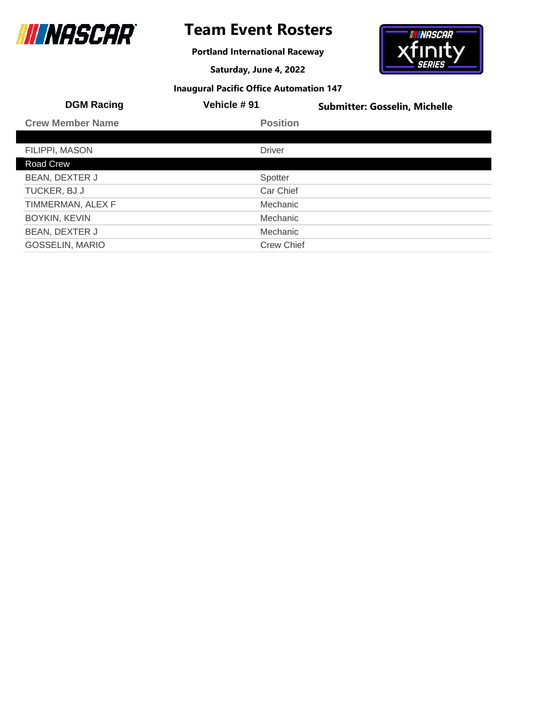

# **Team Event Rosters**

**Portland International Raceway**

**Saturday, June 4, 2022**



| <b>DGM Racing</b>       | <b>Vehicle #91</b> | <b>Submitter: Gosselin, Michelle</b> |
|-------------------------|--------------------|--------------------------------------|
| <b>Crew Member Name</b> | <b>Position</b>    |                                      |
|                         |                    |                                      |
| FILIPPI, MASON          | <b>Driver</b>      |                                      |
| Road Crew               |                    |                                      |
| BEAN, DEXTER J          | Spotter            |                                      |
| TUCKER, BJ J            | Car Chief          |                                      |
| TIMMERMAN, ALEX F       | Mechanic           |                                      |
| <b>BOYKIN, KEVIN</b>    | Mechanic           |                                      |
| BEAN, DEXTER J          | Mechanic           |                                      |
| <b>GOSSELIN, MARIO</b>  | <b>Crew Chief</b>  |                                      |